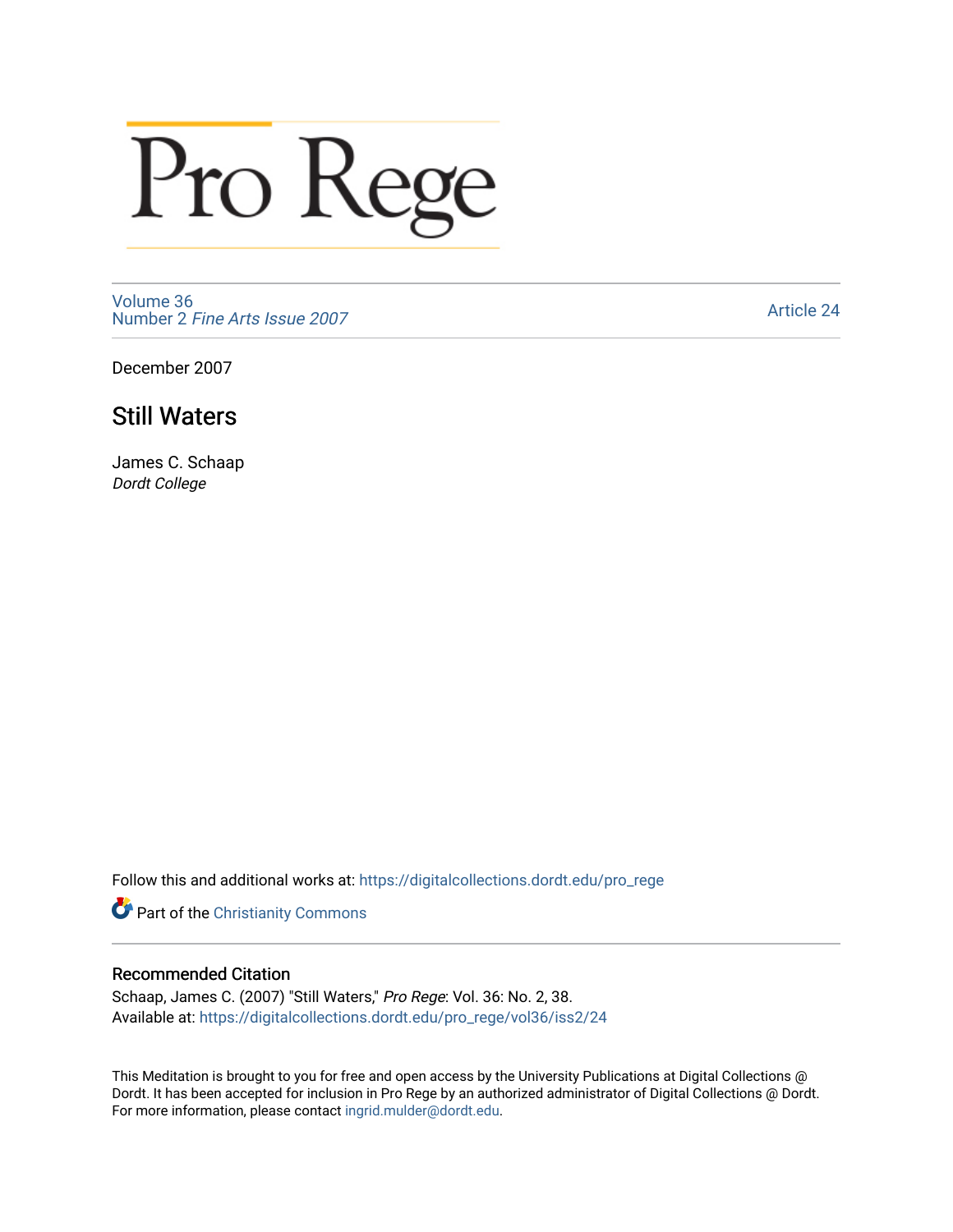# Pro Rege

[Volume 36](https://digitalcollections.dordt.edu/pro_rege/vol36) Number 2 [Fine Arts Issue 2007](https://digitalcollections.dordt.edu/pro_rege/vol36/iss2) 

[Article 24](https://digitalcollections.dordt.edu/pro_rege/vol36/iss2/24) 

December 2007

# Still Waters

James C. Schaap Dordt College

Follow this and additional works at: [https://digitalcollections.dordt.edu/pro\\_rege](https://digitalcollections.dordt.edu/pro_rege?utm_source=digitalcollections.dordt.edu%2Fpro_rege%2Fvol36%2Fiss2%2F24&utm_medium=PDF&utm_campaign=PDFCoverPages) 

**Part of the Christianity Commons** 

# Recommended Citation

Schaap, James C. (2007) "Still Waters," Pro Rege: Vol. 36: No. 2, 38. Available at: [https://digitalcollections.dordt.edu/pro\\_rege/vol36/iss2/24](https://digitalcollections.dordt.edu/pro_rege/vol36/iss2/24?utm_source=digitalcollections.dordt.edu%2Fpro_rege%2Fvol36%2Fiss2%2F24&utm_medium=PDF&utm_campaign=PDFCoverPages)

This Meditation is brought to you for free and open access by the University Publications at Digital Collections @ Dordt. It has been accepted for inclusion in Pro Rege by an authorized administrator of Digital Collections @ Dordt. For more information, please contact [ingrid.mulder@dordt.edu](mailto:ingrid.mulder@dordt.edu).